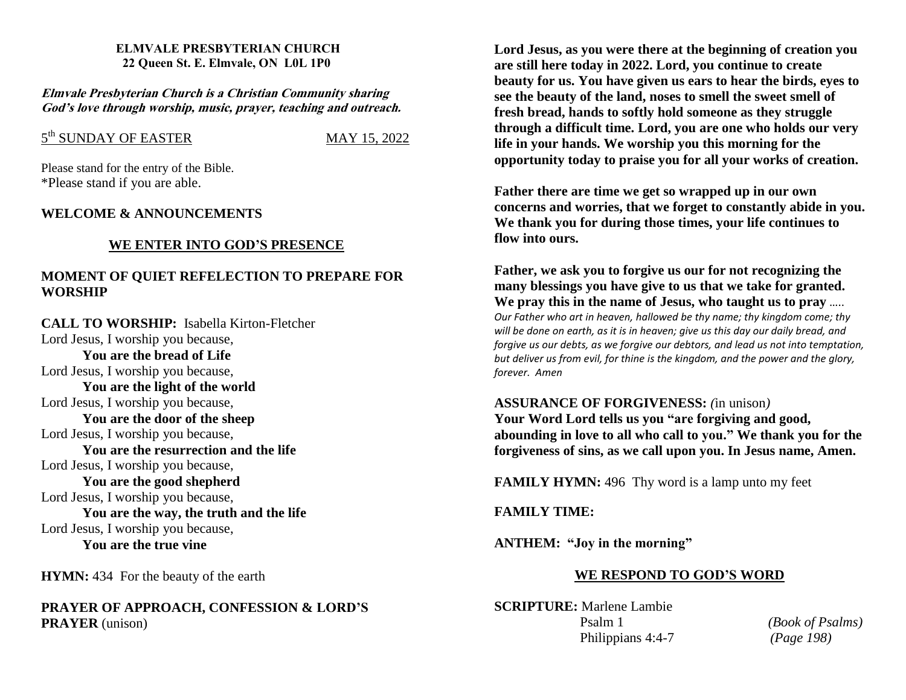#### **ELMVALE PRESBYTERIAN CHURCH 22 Queen St. E. Elmvale, ON L0L 1P0**

**Elmvale Presbyterian Church is <sup>a</sup> Christian Community sharing God'<sup>s</sup> love through worship, music, prayer, teaching and outreach.**

# 5 th SUNDAY OF EASTERMAY 15, 2022

Please stand for the entry of the Bible. \*Please stand if you are able.

### **WELCOME & ANNOUNCEMENTS**

### **WE ENTER INTO GOD'S PRESENCE**

## **MOMENT OF QUIET REFELECTION TO PREPARE FOR WORSHIP**

**CALL TO WORSHIP:** Isabella Kirton-Fletcher Lord Jesus, I worship you because,

**You are the bread of Life** Lord Jesus, I worship you because,

**You are the light of the world** Lord Jesus, I worship you because, **You are the door of the sheep** Lord Jesus, I worship you because, **You are the resurrection and the life** Lord Jesus, I worship you because, **You are the good shepherd** Lord Jesus, I worship you because, **You are the way, the truth and the life**

Lord Jesus, I worship you because, **You are the true vine**

**HYMN:** 434 For the beauty of the earth

**PRAYER OF APPROACH, CONFESSION & LORD'S PRAYER** (unison)

**Lord Jesus, as you were there at the beginning of creation you are still here today in 2022. Lord, you continue to create beauty for us. You have given us ears to hear the birds, eyes to see the beauty of the land, noses to smell the sweet smell of fresh bread, hands to softly hold someone as they struggle through a difficult time. Lord, you are one who holds our very life in your hands. We worship you this morning for the opportunity today to praise you for all your works of creation.**

**Father there are time we get so wrapped up in our own concerns and worries, that we forget to constantly abide in you. We thank you for during those times, your life continues to flow into ours.**

**Father, we ask you to forgive us our for not recognizing the many blessings you have give to us that we take for granted. We pray this in the name of Jesus, who taught us to pray** ….. *Our Father who art in heaven, hallowed be thy name; thy kingdom come; thy will be done on earth, as it is in heaven; give us this day our daily bread, and forgive us our debts, as we forgive our debtors, and lead us not into temptation, but deliver us from evil, for thine is the kingdom, and the power and the glory, forever. Amen*

#### **ASSURANCE OF FORGIVENESS:** *(*in unison*)*

**Your Word Lord tells us you "are forgiving and good, abounding in love to all who call to you." We thank you for the forgiveness of sins, as we call upon you. In Jesus name, Amen.**

**FAMILY HYMN:** 496 Thy word is a lamp unto my feet

**FAMILY TIME:**

**ANTHEM: "Joy in the morning"** 

### **WE RESPOND TO GOD'S WORD**

**SCRIPTURE:** Marlene Lambie Psalm 1 *(Book of Psalms)* Philippians 4:4-7 *(Page 198)*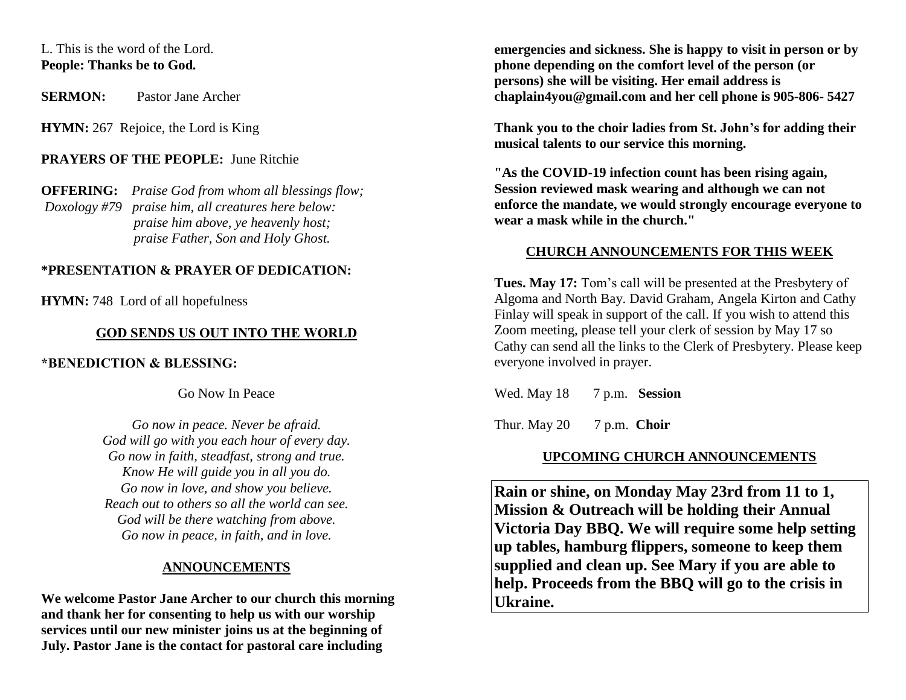## L. This is the word of the Lord. **People: Thanks be to God***.*

**SERMON:** Pastor Jane Archer

**HYMN:** 267 Rejoice, the Lord is King

## **PRAYERS OF THE PEOPLE:** June Ritchie

**OFFERING:** *Praise God from whom all blessings flow; Doxology #79 praise him, all creatures here below: praise him above, ye heavenly host; praise Father, Son and Holy Ghost.* 

### **\*PRESENTATION & PRAYER OF DEDICATION:**

**HYMN:** 748 Lord of all hopefulness

### **GOD SENDS US OUT INTO THE WORLD**

**\*BENEDICTION & BLESSING:** 

Go Now In Peace

*Go now in peace. Never be afraid. God will go with you each hour of every day. Go now in faith, steadfast, strong and true. Know He will guide you in all you do. Go now in love, and show you believe. Reach out to others so all the world can see. God will be there watching from above. Go now in peace, in faith, and in love.*

### **ANNOUNCEMENTS**

**We welcome Pastor Jane Archer to our church this morning and thank her for consenting to help us with our worship services until our new minister joins us at the beginning of July. Pastor Jane is the contact for pastoral care including**

**emergencies and sickness. She is happy to visit in person or by phone depending on the comfort level of the person (or persons) she will be visiting. Her email address is chaplain4you@gmail.com and her cell phone is 905-806- 5427**

**Thank you to the choir ladies from St. John's for adding their musical talents to our service this morning.**

**"As the COVID-19 infection count has been rising again, Session reviewed mask wearing and although we can not enforce the mandate, we would strongly encourage everyone to wear a mask while in the church."**

#### **CHURCH ANNOUNCEMENTS FOR THIS WEEK**

**Tues. May 17:** Tom's call will be presented at the Presbytery of Algoma and North Bay. David Graham, Angela Kirton and Cathy Finlay will speak in support of the call. If you wish to attend this Zoom meeting, please tell your clerk of session by May 17 so Cathy can send all the links to the Clerk of Presbytery. Please keep everyone involved in prayer.

Wed. May 18 7 p.m. **Session** 

Thur. May 20 7 p.m. **Choir** 

### **UPCOMING CHURCH ANNOUNCEMENTS**

**Rain or shine, on Monday May 23rd from 11 to 1, Mission & Outreach will be holding their Annual Victoria Day BBQ. We will require some help setting up tables, hamburg flippers, someone to keep them supplied and clean up. See Mary if you are able to help. Proceeds from the BBQ will go to the crisis in Ukraine.**